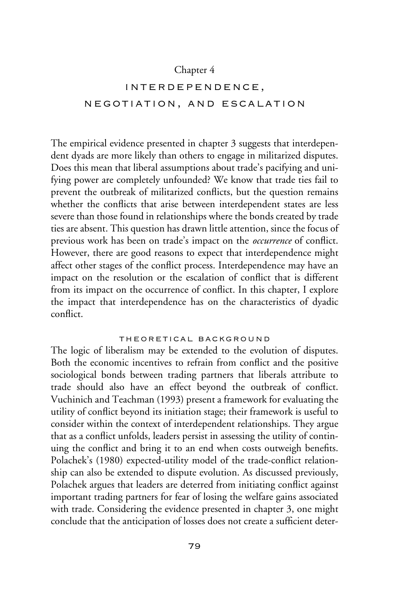# Chapter 4

# interdependence, negotiation, and escalation

The empirical evidence presented in chapter 3 suggests that interdependent dyads are more likely than others to engage in militarized disputes. Does this mean that liberal assumptions about trade's pacifying and unifying power are completely unfounded? We know that trade ties fail to prevent the outbreak of militarized conflicts, but the question remains whether the conflicts that arise between interdependent states are less severe than those found in relationships where the bonds created by trade ties are absent. This question has drawn little attention, since the focus of previous work has been on trade's impact on the *occurrence* of conflict. However, there are good reasons to expect that interdependence might affect other stages of the conflict process. Interdependence may have an impact on the resolution or the escalation of conflict that is different from its impact on the occurrence of conflict. In this chapter, I explore the impact that interdependence has on the characteristics of dyadic conflict.

## theoretical background

The logic of liberalism may be extended to the evolution of disputes. Both the economic incentives to refrain from conflict and the positive sociological bonds between trading partners that liberals attribute to trade should also have an effect beyond the outbreak of conflict. Vuchinich and Teachman (1993) present a framework for evaluating the utility of conflict beyond its initiation stage; their framework is useful to consider within the context of interdependent relationships. They argue that as a conflict unfolds, leaders persist in assessing the utility of continuing the conflict and bring it to an end when costs outweigh benefits. Polachek's (1980) expected-utility model of the trade-conflict relationship can also be extended to dispute evolution. As discussed previously, Polachek argues that leaders are deterred from initiating conflict against important trading partners for fear of losing the welfare gains associated with trade. Considering the evidence presented in chapter 3, one might conclude that the anticipation of losses does not create a sufficient deter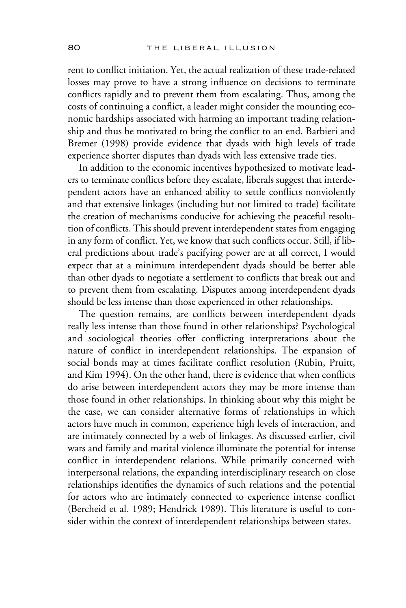rent to conflict initiation. Yet, the actual realization of these trade-related losses may prove to have a strong influence on decisions to terminate conflicts rapidly and to prevent them from escalating. Thus, among the costs of continuing a conflict, a leader might consider the mounting economic hardships associated with harming an important trading relationship and thus be motivated to bring the conflict to an end. Barbieri and Bremer (1998) provide evidence that dyads with high levels of trade experience shorter disputes than dyads with less extensive trade ties.

In addition to the economic incentives hypothesized to motivate leaders to terminate conflicts before they escalate, liberals suggest that interdependent actors have an enhanced ability to settle conflicts nonviolently and that extensive linkages (including but not limited to trade) facilitate the creation of mechanisms conducive for achieving the peaceful resolution of conflicts. This should prevent interdependent states from engaging in any form of conflict. Yet, we know that such conflicts occur. Still, if liberal predictions about trade's pacifying power are at all correct, I would expect that at a minimum interdependent dyads should be better able than other dyads to negotiate a settlement to conflicts that break out and to prevent them from escalating. Disputes among interdependent dyads should be less intense than those experienced in other relationships.

The question remains, are conflicts between interdependent dyads really less intense than those found in other relationships? Psychological and sociological theories offer conflicting interpretations about the nature of conflict in interdependent relationships. The expansion of social bonds may at times facilitate conflict resolution (Rubin, Pruitt, and Kim 1994). On the other hand, there is evidence that when conflicts do arise between interdependent actors they may be more intense than those found in other relationships. In thinking about why this might be the case, we can consider alternative forms of relationships in which actors have much in common, experience high levels of interaction, and are intimately connected by a web of linkages. As discussed earlier, civil wars and family and marital violence illuminate the potential for intense conflict in interdependent relations. While primarily concerned with interpersonal relations, the expanding interdisciplinary research on close relationships identifies the dynamics of such relations and the potential for actors who are intimately connected to experience intense conflict (Bercheid et al. 1989; Hendrick 1989). This literature is useful to consider within the context of interdependent relationships between states.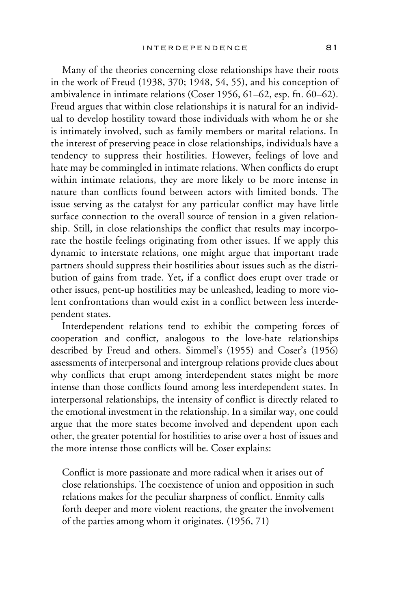Many of the theories concerning close relationships have their roots in the work of Freud (1938, 370; 1948, 54, 55), and his conception of ambivalence in intimate relations (Coser 1956, 61–62, esp. fn. 60–62). Freud argues that within close relationships it is natural for an individual to develop hostility toward those individuals with whom he or she is intimately involved, such as family members or marital relations. In the interest of preserving peace in close relationships, individuals have a tendency to suppress their hostilities. However, feelings of love and hate may be commingled in intimate relations. When conflicts do erupt within intimate relations, they are more likely to be more intense in nature than conflicts found between actors with limited bonds. The issue serving as the catalyst for any particular conflict may have little surface connection to the overall source of tension in a given relationship. Still, in close relationships the conflict that results may incorporate the hostile feelings originating from other issues. If we apply this dynamic to interstate relations, one might argue that important trade partners should suppress their hostilities about issues such as the distribution of gains from trade. Yet, if a conflict does erupt over trade or other issues, pent-up hostilities may be unleashed, leading to more violent confrontations than would exist in a conflict between less interdependent states.

Interdependent relations tend to exhibit the competing forces of cooperation and conflict, analogous to the love-hate relationships described by Freud and others. Simmel's (1955) and Coser's (1956) assessments of interpersonal and intergroup relations provide clues about why conflicts that erupt among interdependent states might be more intense than those conflicts found among less interdependent states. In interpersonal relationships, the intensity of conflict is directly related to the emotional investment in the relationship. In a similar way, one could argue that the more states become involved and dependent upon each other, the greater potential for hostilities to arise over a host of issues and the more intense those conflicts will be. Coser explains:

Conflict is more passionate and more radical when it arises out of close relationships. The coexistence of union and opposition in such relations makes for the peculiar sharpness of conflict. Enmity calls forth deeper and more violent reactions, the greater the involvement of the parties among whom it originates. (1956, 71)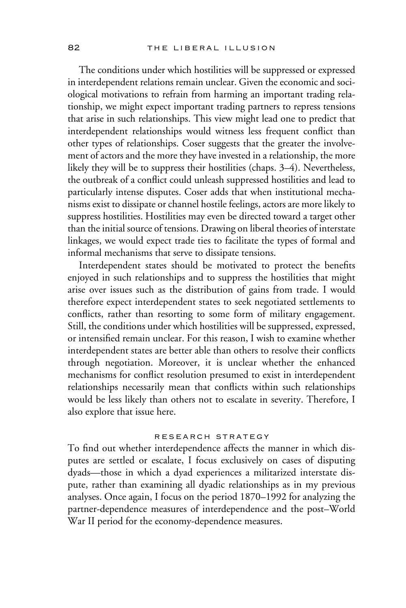The conditions under which hostilities will be suppressed or expressed in interdependent relations remain unclear. Given the economic and sociological motivations to refrain from harming an important trading relationship, we might expect important trading partners to repress tensions that arise in such relationships. This view might lead one to predict that interdependent relationships would witness less frequent conflict than other types of relationships. Coser suggests that the greater the involvement of actors and the more they have invested in a relationship, the more likely they will be to suppress their hostilities (chaps. 3–4). Nevertheless, the outbreak of a conflict could unleash suppressed hostilities and lead to particularly intense disputes. Coser adds that when institutional mechanisms exist to dissipate or channel hostile feelings, actors are more likely to suppress hostilities. Hostilities may even be directed toward a target other than the initial source of tensions. Drawing on liberal theories of interstate linkages, we would expect trade ties to facilitate the types of formal and informal mechanisms that serve to dissipate tensions.

Interdependent states should be motivated to protect the benefits enjoyed in such relationships and to suppress the hostilities that might arise over issues such as the distribution of gains from trade. I would therefore expect interdependent states to seek negotiated settlements to conflicts, rather than resorting to some form of military engagement. Still, the conditions under which hostilities will be suppressed, expressed, or intensified remain unclear. For this reason, I wish to examine whether interdependent states are better able than others to resolve their conflicts through negotiation. Moreover, it is unclear whether the enhanced mechanisms for conflict resolution presumed to exist in interdependent relationships necessarily mean that conflicts within such relationships would be less likely than others not to escalate in severity. Therefore, I also explore that issue here.

## research strategy

To find out whether interdependence affects the manner in which disputes are settled or escalate, I focus exclusively on cases of disputing dyads—those in which a dyad experiences a militarized interstate dispute, rather than examining all dyadic relationships as in my previous analyses. Once again, I focus on the period 1870–1992 for analyzing the partner-dependence measures of interdependence and the post–World War II period for the economy-dependence measures.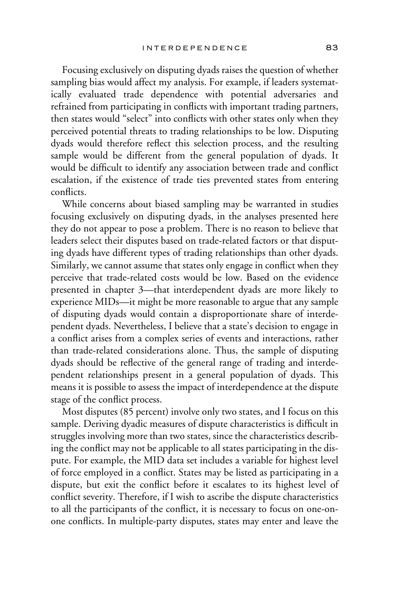Focusing exclusively on disputing dyads raises the question of whether sampling bias would affect my analysis. For example, if leaders systematically evaluated trade dependence with potential adversaries and refrained from participating in conflicts with important trading partners, then states would "select" into conflicts with other states only when they perceived potential threats to trading relationships to be low. Disputing dyads would therefore reflect this selection process, and the resulting sample would be different from the general population of dyads. It would be difficult to identify any association between trade and conflict escalation, if the existence of trade ties prevented states from entering conflicts.

While concerns about biased sampling may be warranted in studies focusing exclusively on disputing dyads, in the analyses presented here they do not appear to pose a problem. There is no reason to believe that leaders select their disputes based on trade-related factors or that disputing dyads have different types of trading relationships than other dyads. Similarly, we cannot assume that states only engage in conflict when they perceive that trade-related costs would be low. Based on the evidence presented in chapter 3—that interdependent dyads are more likely to experience MIDs—it might be more reasonable to argue that any sample of disputing dyads would contain a disproportionate share of interdependent dyads. Nevertheless, I believe that a state's decision to engage in a conflict arises from a complex series of events and interactions, rather than trade-related considerations alone. Thus, the sample of disputing dyads should be reflective of the general range of trading and interdependent relationships present in a general population of dyads. This means it is possible to assess the impact of interdependence at the dispute stage of the conflict process.

Most disputes (85 percent) involve only two states, and I focus on this sample. Deriving dyadic measures of dispute characteristics is difficult in struggles involving more than two states, since the characteristics describing the conflict may not be applicable to all states participating in the dispute. For example, the MID data set includes a variable for highest level of force employed in a conflict. States may be listed as participating in a dispute, but exit the conflict before it escalates to its highest level of conflict severity. Therefore, if I wish to ascribe the dispute characteristics to all the participants of the conflict, it is necessary to focus on one-onone conflicts. In multiple-party disputes, states may enter and leave the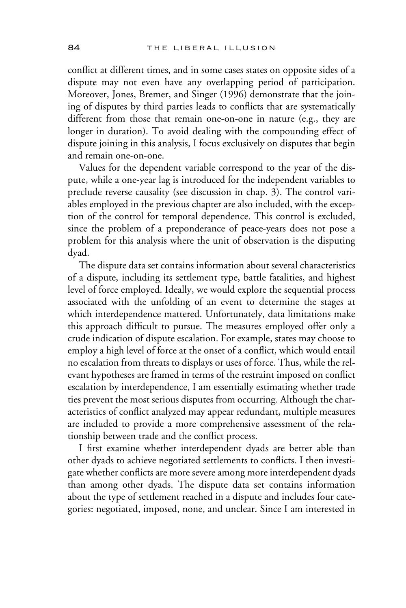conflict at different times, and in some cases states on opposite sides of a dispute may not even have any overlapping period of participation. Moreover, Jones, Bremer, and Singer (1996) demonstrate that the joining of disputes by third parties leads to conflicts that are systematically different from those that remain one-on-one in nature (e.g., they are longer in duration). To avoid dealing with the compounding effect of dispute joining in this analysis, I focus exclusively on disputes that begin and remain one-on-one.

Values for the dependent variable correspond to the year of the dispute, while a one-year lag is introduced for the independent variables to preclude reverse causality (see discussion in chap. 3). The control variables employed in the previous chapter are also included, with the exception of the control for temporal dependence. This control is excluded, since the problem of a preponderance of peace-years does not pose a problem for this analysis where the unit of observation is the disputing dyad.

The dispute data set contains information about several characteristics of a dispute, including its settlement type, battle fatalities, and highest level of force employed. Ideally, we would explore the sequential process associated with the unfolding of an event to determine the stages at which interdependence mattered. Unfortunately, data limitations make this approach difficult to pursue. The measures employed offer only a crude indication of dispute escalation. For example, states may choose to employ a high level of force at the onset of a conflict, which would entail no escalation from threats to displays or uses of force. Thus, while the relevant hypotheses are framed in terms of the restraint imposed on conflict escalation by interdependence, I am essentially estimating whether trade ties prevent the most serious disputes from occurring. Although the characteristics of conflict analyzed may appear redundant, multiple measures are included to provide a more comprehensive assessment of the relationship between trade and the conflict process.

I first examine whether interdependent dyads are better able than other dyads to achieve negotiated settlements to conflicts. I then investigate whether conflicts are more severe among more interdependent dyads than among other dyads. The dispute data set contains information about the type of settlement reached in a dispute and includes four categories: negotiated, imposed, none, and unclear. Since I am interested in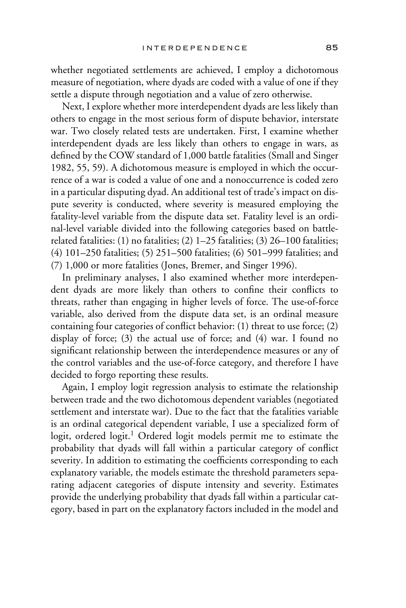whether negotiated settlements are achieved, I employ a dichotomous measure of negotiation, where dyads are coded with a value of one if they settle a dispute through negotiation and a value of zero otherwise.

Next, I explore whether more interdependent dyads are less likely than others to engage in the most serious form of dispute behavior, interstate war. Two closely related tests are undertaken. First, I examine whether interdependent dyads are less likely than others to engage in wars, as defined by the COW standard of 1,000 battle fatalities (Small and Singer 1982, 55, 59). A dichotomous measure is employed in which the occurrence of a war is coded a value of one and a nonoccurrence is coded zero in a particular disputing dyad. An additional test of trade's impact on dispute severity is conducted, where severity is measured employing the fatality-level variable from the dispute data set. Fatality level is an ordinal-level variable divided into the following categories based on battlerelated fatalities: (1) no fatalities; (2) 1–25 fatalities; (3) 26–100 fatalities; (4) 101–250 fatalities; (5) 251–500 fatalities; (6) 501–999 fatalities; and (7) 1,000 or more fatalities (Jones, Bremer, and Singer 1996).

In preliminary analyses, I also examined whether more interdependent dyads are more likely than others to confine their conflicts to threats, rather than engaging in higher levels of force. The use-of-force variable, also derived from the dispute data set, is an ordinal measure containing four categories of conflict behavior:  $(1)$  threat to use force;  $(2)$ display of force; (3) the actual use of force; and (4) war. I found no significant relationship between the interdependence measures or any of the control variables and the use-of-force category, and therefore I have decided to forgo reporting these results.

Again, I employ logit regression analysis to estimate the relationship between trade and the two dichotomous dependent variables (negotiated settlement and interstate war). Due to the fact that the fatalities variable is an ordinal categorical dependent variable, I use a specialized form of logit, ordered logit.<sup>1</sup> Ordered logit models permit me to estimate the probability that dyads will fall within a particular category of conflict severity. In addition to estimating the coefficients corresponding to each explanatory variable, the models estimate the threshold parameters separating adjacent categories of dispute intensity and severity. Estimates provide the underlying probability that dyads fall within a particular category, based in part on the explanatory factors included in the model and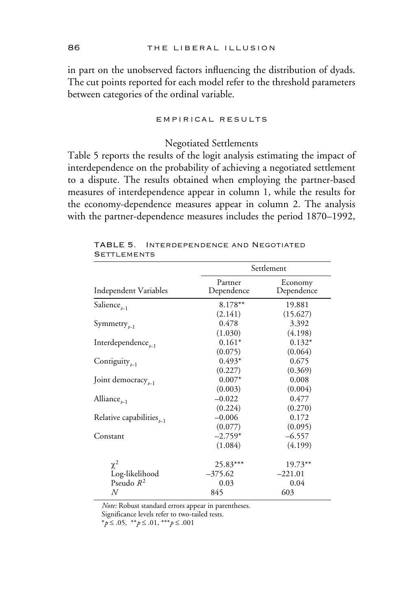in part on the unobserved factors influencing the distribution of dyads. The cut points reported for each model refer to the threshold parameters between categories of the ordinal variable.

#### empirical results

### Negotiated Settlements

Table 5 reports the results of the logit analysis estimating the impact of interdependence on the probability of achieving a negotiated settlement to a dispute. The results obtained when employing the partner-based measures of interdependence appear in column 1, while the results for the economy-dependence measures appear in column 2. The analysis with the partner-dependence measures includes the period 1870–1992,

|                                | Settlement            |                       |  |
|--------------------------------|-----------------------|-----------------------|--|
| Independent Variables          | Partner<br>Dependence | Economy<br>Dependence |  |
| Salience $_{t=1}$              | 8.178**               | 19.881                |  |
|                                | (2.141)               | (15.627)              |  |
| Symmetry $_{t=1}$              | 0.478                 | 3.392                 |  |
|                                | (1.030)               | (4.198)               |  |
| Interdependence $_{t=1}$       | $0.161*$              | $0.132*$              |  |
|                                | (0.075)               | (0.064)               |  |
| Contiguity $_{t=1}$            | $0.493*$              | 0.675                 |  |
|                                | (0.227)               | (0.369)               |  |
| Joint democracy $_{t=1}$       | $0.007*$              | 0.008                 |  |
|                                | (0.003)               | (0.004)               |  |
| Alliance $_{t=1}$              | $-0.022$              | 0.477                 |  |
|                                | (0.224)               | (0.270)               |  |
| Relative capabilities $_{t=1}$ | $-0.006$              | 0.172                 |  |
|                                | (0.077)               | (0.095)               |  |
| Constant                       | $-2.759*$             | $-6.557$              |  |
|                                | (1.084)               | (4.199)               |  |
| $\chi^2$                       | 25.83***              | $19.73**$             |  |
| Log-likelihood                 | $-375.62$             | $-221.01$             |  |
| Pseudo $R^2$                   | 0.03                  | 0.04                  |  |
| N                              | 845                   | 603                   |  |

TABLE 5. Interdependence and Negotiated **SETTLEMENTS** 

*Note:* Robust standard errors appear in parentheses.

Significance levels refer to two-tailed tests.

\**p* ≤ .05, \*\**p* ≤ .01, \*\*\**p* ≤ .001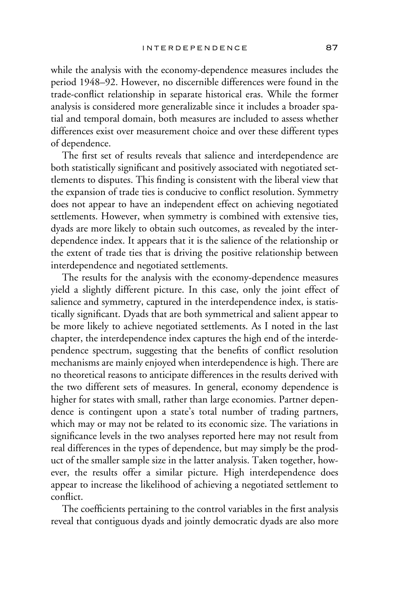while the analysis with the economy-dependence measures includes the period 1948–92. However, no discernible differences were found in the trade-conflict relationship in separate historical eras. While the former analysis is considered more generalizable since it includes a broader spatial and temporal domain, both measures are included to assess whether differences exist over measurement choice and over these different types of dependence.

The first set of results reveals that salience and interdependence are both statistically significant and positively associated with negotiated settlements to disputes. This finding is consistent with the liberal view that the expansion of trade ties is conducive to conflict resolution. Symmetry does not appear to have an independent effect on achieving negotiated settlements. However, when symmetry is combined with extensive ties, dyads are more likely to obtain such outcomes, as revealed by the interdependence index. It appears that it is the salience of the relationship or the extent of trade ties that is driving the positive relationship between interdependence and negotiated settlements.

The results for the analysis with the economy-dependence measures yield a slightly different picture. In this case, only the joint effect of salience and symmetry, captured in the interdependence index, is statistically significant. Dyads that are both symmetrical and salient appear to be more likely to achieve negotiated settlements. As I noted in the last chapter, the interdependence index captures the high end of the interdependence spectrum, suggesting that the benefits of conflict resolution mechanisms are mainly enjoyed when interdependence is high. There are no theoretical reasons to anticipate differences in the results derived with the two different sets of measures. In general, economy dependence is higher for states with small, rather than large economies. Partner dependence is contingent upon a state's total number of trading partners, which may or may not be related to its economic size. The variations in significance levels in the two analyses reported here may not result from real differences in the types of dependence, but may simply be the product of the smaller sample size in the latter analysis. Taken together, however, the results offer a similar picture. High interdependence does appear to increase the likelihood of achieving a negotiated settlement to conflict.

The coefficients pertaining to the control variables in the first analysis reveal that contiguous dyads and jointly democratic dyads are also more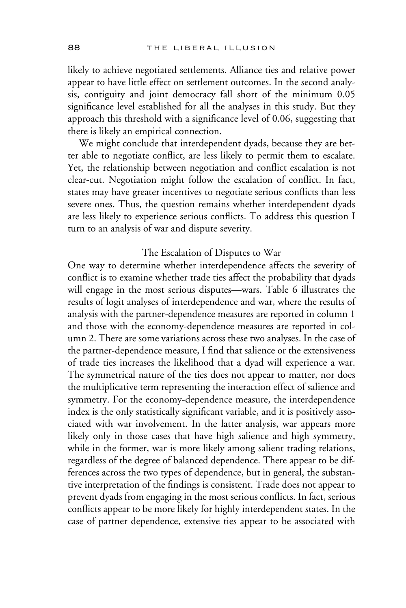likely to achieve negotiated settlements. Alliance ties and relative power appear to have little effect on settlement outcomes. In the second analysis, contiguity and joint democracy fall short of the minimum 0.05 significance level established for all the analyses in this study. But they approach this threshold with a significance level of 0.06, suggesting that there is likely an empirical connection.

We might conclude that interdependent dyads, because they are better able to negotiate conflict, are less likely to permit them to escalate. Yet, the relationship between negotiation and conflict escalation is not clear-cut. Negotiation might follow the escalation of conflict. In fact, states may have greater incentives to negotiate serious conflicts than less severe ones. Thus, the question remains whether interdependent dyads are less likely to experience serious conflicts. To address this question I turn to an analysis of war and dispute severity.

# The Escalation of Disputes to War

One way to determine whether interdependence affects the severity of conflict is to examine whether trade ties affect the probability that dyads will engage in the most serious disputes—wars. Table 6 illustrates the results of logit analyses of interdependence and war, where the results of analysis with the partner-dependence measures are reported in column 1 and those with the economy-dependence measures are reported in column 2. There are some variations across these two analyses. In the case of the partner-dependence measure, I find that salience or the extensiveness of trade ties increases the likelihood that a dyad will experience a war. The symmetrical nature of the ties does not appear to matter, nor does the multiplicative term representing the interaction effect of salience and symmetry. For the economy-dependence measure, the interdependence index is the only statistically significant variable, and it is positively associated with war involvement. In the latter analysis, war appears more likely only in those cases that have high salience and high symmetry, while in the former, war is more likely among salient trading relations, regardless of the degree of balanced dependence. There appear to be differences across the two types of dependence, but in general, the substantive interpretation of the findings is consistent. Trade does not appear to prevent dyads from engaging in the most serious conflicts. In fact, serious conflicts appear to be more likely for highly interdependent states. In the case of partner dependence, extensive ties appear to be associated with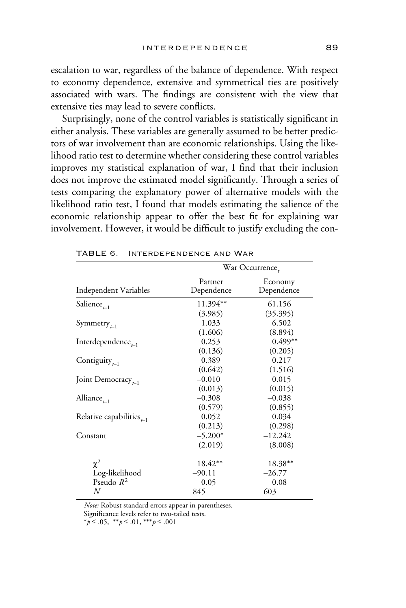escalation to war, regardless of the balance of dependence. With respect to economy dependence, extensive and symmetrical ties are positively associated with wars. The findings are consistent with the view that extensive ties may lead to severe conflicts.

Surprisingly, none of the control variables is statistically significant in either analysis. These variables are generally assumed to be better predictors of war involvement than are economic relationships. Using the likelihood ratio test to determine whether considering these control variables improves my statistical explanation of war, I find that their inclusion does not improve the estimated model significantly. Through a series of tests comparing the explanatory power of alternative models with the likelihood ratio test, I found that models estimating the salience of the economic relationship appear to offer the best fit for explaining war involvement. However, it would be difficult to justify excluding the con-

|                                                 | War Occurrence,                      |                                    |  |
|-------------------------------------------------|--------------------------------------|------------------------------------|--|
| Independent Variables                           | Partner<br>Dependence                | Economy<br>Dependence              |  |
| Salience $_{t=1}$                               | 11.394**                             | 61.156                             |  |
| Symmetry $_{t=1}$                               | (3.985)<br>1.033                     | (35.395)<br>6.502                  |  |
| Interdependence $_{t=1}$                        | (1.606)<br>0.253                     | (8.894)<br>$0.499**$               |  |
| Contiguity $_{t=1}$                             | (0.136)<br>0.389                     | (0.205)<br>0.217                   |  |
| Joint Democracy <sub><math>t-1</math></sub>     | (0.642)<br>$-0.010$                  | (1.516)<br>0.015                   |  |
| Alliance $_{t=1}$                               | (0.013)<br>$-0.308$                  | (0.015)<br>$-0.038$                |  |
| Relative capabilities $_{t=1}$                  | (0.579)<br>0.052                     | (0.855)<br>0.034                   |  |
| Constant                                        | (0.213)<br>$-5.200*$<br>(2.019)      | (0.298)<br>$-12.242$<br>(8.008)    |  |
| $\chi^2$<br>Log-likelihood<br>Pseudo $R^2$<br>N | $18.42**$<br>$-90.11$<br>0.05<br>845 | 18.38**<br>$-26.77$<br>0.08<br>603 |  |

TABLE 6. Interdependence and War

*Note:* Robust standard errors appear in parentheses.

Significance levels refer to two-tailed tests.

\**p* ≤ .05, \*\**p* ≤ .01, \*\*\**p* ≤ .001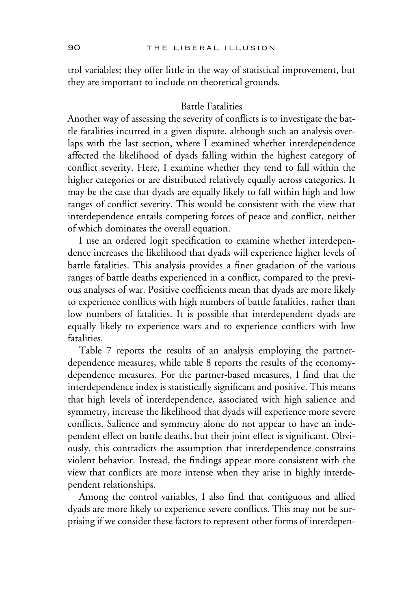trol variables; they offer little in the way of statistical improvement, but they are important to include on theoretical grounds.

# Battle Fatalities

Another way of assessing the severity of conflicts is to investigate the battle fatalities incurred in a given dispute, although such an analysis overlaps with the last section, where I examined whether interdependence affected the likelihood of dyads falling within the highest category of conflict severity. Here, I examine whether they tend to fall within the higher categories or are distributed relatively equally across categories. It may be the case that dyads are equally likely to fall within high and low ranges of conflict severity. This would be consistent with the view that interdependence entails competing forces of peace and conflict, neither of which dominates the overall equation.

I use an ordered logit specification to examine whether interdependence increases the likelihood that dyads will experience higher levels of battle fatalities. This analysis provides a finer gradation of the various ranges of battle deaths experienced in a conflict, compared to the previous analyses of war. Positive coefficients mean that dyads are more likely to experience conflicts with high numbers of battle fatalities, rather than low numbers of fatalities. It is possible that interdependent dyads are equally likely to experience wars and to experience conflicts with low fatalities.

Table 7 reports the results of an analysis employing the partnerdependence measures, while table 8 reports the results of the economydependence measures. For the partner-based measures, I find that the interdependence index is statistically significant and positive. This means that high levels of interdependence, associated with high salience and symmetry, increase the likelihood that dyads will experience more severe conflicts. Salience and symmetry alone do not appear to have an independent effect on battle deaths, but their joint effect is significant. Obviously, this contradicts the assumption that interdependence constrains violent behavior. Instead, the findings appear more consistent with the view that conflicts are more intense when they arise in highly interdependent relationships.

Among the control variables, I also find that contiguous and allied dyads are more likely to experience severe conflicts. This may not be surprising if we consider these factors to represent other forms of interdepen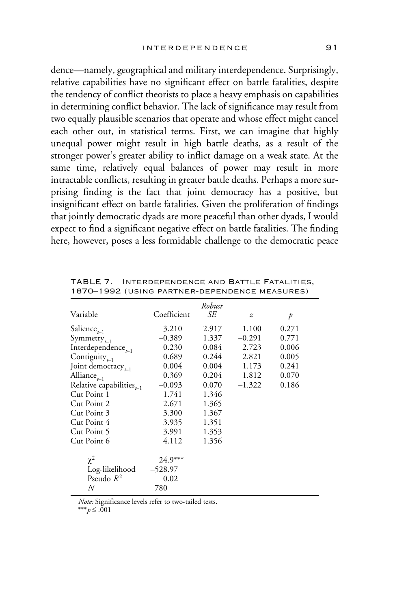dence—namely, geographical and military interdependence. Surprisingly, relative capabilities have no significant effect on battle fatalities, despite the tendency of conflict theorists to place a heavy emphasis on capabilities in determining conflict behavior. The lack of significance may result from two equally plausible scenarios that operate and whose effect might cancel each other out, in statistical terms. First, we can imagine that highly unequal power might result in high battle deaths, as a result of the stronger power's greater ability to inflict damage on a weak state. At the same time, relatively equal balances of power may result in more intractable conflicts, resulting in greater battle deaths. Perhaps a more surprising finding is the fact that joint democracy has a positive, but insignificant effect on battle fatalities. Given the proliferation of findings that jointly democratic dyads are more peaceful than other dyads, I would expect to find a significant negative effect on battle fatalities. The finding here, however, poses a less formidable challenge to the democratic peace

|                                |             | Robust |          |       |  |
|--------------------------------|-------------|--------|----------|-------|--|
| Variable                       | Coefficient | SE     | z        | p     |  |
| Salience $_{t=1}$              | 3.210       | 2.917  | 1.100    | 0.271 |  |
| Symmetry $_{t=1}$              | $-0.389$    | 1.337  | $-0.291$ | 0.771 |  |
| Interdependence $_{t=1}$       | 0.230       | 0.084  | 2.723    | 0.006 |  |
| Contiguity $_{t=1}$            | 0.689       | 0.244  | 2.821    | 0.005 |  |
| Joint democracy $_{t=1}$       | 0.004       | 0.004  | 1.173    | 0.241 |  |
| Alliance $_{t=1}$              | 0.369       | 0.204  | 1.812    | 0.070 |  |
| Relative capabilities $_{t=1}$ | $-0.093$    | 0.070  | $-1.322$ | 0.186 |  |
| Cut Point 1                    | 1.741       | 1.346  |          |       |  |
| Cut Point 2                    | 2.671       | 1.365  |          |       |  |
| Cut Point 3                    | 3.300       | 1.367  |          |       |  |
| Cut Point 4                    | 3.935       | 1.351  |          |       |  |
| Cut Point 5                    | 3.991       | 1.353  |          |       |  |
| Cut Point 6                    | 4.112       | 1.356  |          |       |  |
| $\chi^2$                       | 24.9***     |        |          |       |  |
| Log-likelihood                 | $-528.97$   |        |          |       |  |
| Pseudo $R^2$                   | 0.02        |        |          |       |  |
| N                              | 780         |        |          |       |  |

TABLE 7. Interdependence and Battle Fatalities, 1870–1992 (using partner-dependence measures)

*Note:* Significance levels refer to two-tailed tests. \*\*\**p* ≤ .001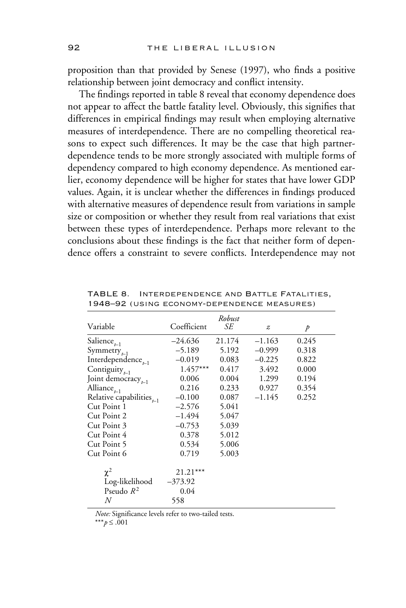proposition than that provided by Senese (1997), who finds a positive relationship between joint democracy and conflict intensity.

The findings reported in table 8 reveal that economy dependence does not appear to affect the battle fatality level. Obviously, this signifies that differences in empirical findings may result when employing alternative measures of interdependence. There are no compelling theoretical reasons to expect such differences. It may be the case that high partnerdependence tends to be more strongly associated with multiple forms of dependency compared to high economy dependence. As mentioned earlier, economy dependence will be higher for states that have lower GDP values. Again, it is unclear whether the differences in findings produced with alternative measures of dependence result from variations in sample size or composition or whether they result from real variations that exist between these types of interdependence. Perhaps more relevant to the conclusions about these findings is the fact that neither form of dependence offers a constraint to severe conflicts. Interdependence may not

|                                |             | Robust |          |       |  |
|--------------------------------|-------------|--------|----------|-------|--|
| Variable                       | Coefficient | SE     | z        | p     |  |
| Salience $_{t-1}$              | $-24.636$   | 21.174 | $-1.163$ | 0.245 |  |
| Symmetry $_{t=1}$              | $-5.189$    | 5.192  | $-0.999$ | 0.318 |  |
| Interdependence $_{t=1}$       | $-0.019$    | 0.083  | $-0.225$ | 0.822 |  |
| Contiguity $_{t=1}$            | $1.457***$  | 0.417  | 3.492    | 0.000 |  |
| Joint democracy $_{t=1}$       | 0.006       | 0.004  | 1.299    | 0.194 |  |
| Alliance $_{t-1}$              | 0.216       | 0.233  | 0.927    | 0.354 |  |
| Relative capabilities $_{t=1}$ | $-0.100$    | 0.087  | $-1.145$ | 0.252 |  |
| Cut Point 1                    | $-2.576$    | 5.041  |          |       |  |
| Cut Point 2                    | $-1.494$    | 5.047  |          |       |  |
| Cut Point 3                    | $-0.753$    | 5.039  |          |       |  |
| Cut Point 4                    | 0.378       | 5.012  |          |       |  |
| Cut Point 5                    | 0.534       | 5.006  |          |       |  |
| Cut Point 6                    | 0.719       | 5.003  |          |       |  |
| $\chi^2$                       | $21.21***$  |        |          |       |  |
| Log-likelihood                 | $-373.92$   |        |          |       |  |
| Pseudo $R^2$                   | 0.04        |        |          |       |  |
| N                              | 558         |        |          |       |  |

TABLE 8. Interdependence and Battle Fatalities, 1948–92 (using economy-dependence measures)

*Note:* Significance levels refer to two-tailed tests.

\*\*\**p* ≤ .001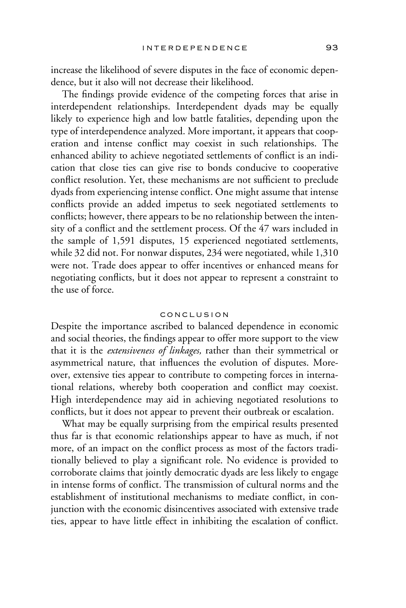increase the likelihood of severe disputes in the face of economic dependence, but it also will not decrease their likelihood.

The findings provide evidence of the competing forces that arise in interdependent relationships. Interdependent dyads may be equally likely to experience high and low battle fatalities, depending upon the type of interdependence analyzed. More important, it appears that cooperation and intense conflict may coexist in such relationships. The enhanced ability to achieve negotiated settlements of conflict is an indication that close ties can give rise to bonds conducive to cooperative conflict resolution. Yet, these mechanisms are not sufficient to preclude dyads from experiencing intense conflict. One might assume that intense conflicts provide an added impetus to seek negotiated settlements to conflicts; however, there appears to be no relationship between the intensity of a conflict and the settlement process. Of the 47 wars included in the sample of 1,591 disputes, 15 experienced negotiated settlements, while 32 did not. For nonwar disputes, 234 were negotiated, while 1,310 were not. Trade does appear to offer incentives or enhanced means for negotiating conflicts, but it does not appear to represent a constraint to the use of force.

#### conclusion

Despite the importance ascribed to balanced dependence in economic and social theories, the findings appear to offer more support to the view that it is the *extensiveness of linkages,* rather than their symmetrical or asymmetrical nature, that influences the evolution of disputes. Moreover, extensive ties appear to contribute to competing forces in international relations, whereby both cooperation and conflict may coexist. High interdependence may aid in achieving negotiated resolutions to conflicts, but it does not appear to prevent their outbreak or escalation.

What may be equally surprising from the empirical results presented thus far is that economic relationships appear to have as much, if not more, of an impact on the conflict process as most of the factors traditionally believed to play a significant role. No evidence is provided to corroborate claims that jointly democratic dyads are less likely to engage in intense forms of conflict. The transmission of cultural norms and the establishment of institutional mechanisms to mediate conflict, in conjunction with the economic disincentives associated with extensive trade ties, appear to have little effect in inhibiting the escalation of conflict.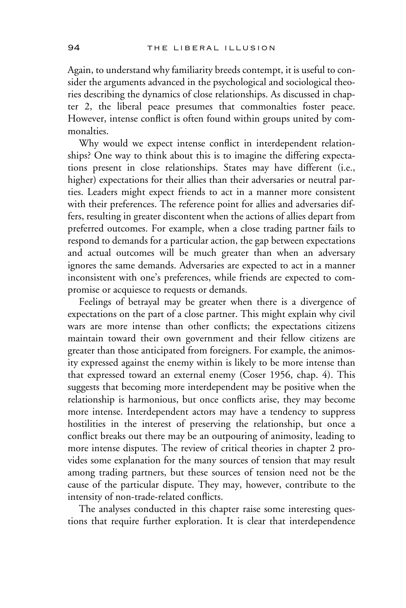Again, to understand why familiarity breeds contempt, it is useful to consider the arguments advanced in the psychological and sociological theories describing the dynamics of close relationships. As discussed in chapter 2, the liberal peace presumes that commonalties foster peace. However, intense conflict is often found within groups united by commonalties.

Why would we expect intense conflict in interdependent relationships? One way to think about this is to imagine the differing expectations present in close relationships. States may have different (i.e., higher) expectations for their allies than their adversaries or neutral parties. Leaders might expect friends to act in a manner more consistent with their preferences. The reference point for allies and adversaries differs, resulting in greater discontent when the actions of allies depart from preferred outcomes. For example, when a close trading partner fails to respond to demands for a particular action, the gap between expectations and actual outcomes will be much greater than when an adversary ignores the same demands. Adversaries are expected to act in a manner inconsistent with one's preferences, while friends are expected to compromise or acquiesce to requests or demands.

Feelings of betrayal may be greater when there is a divergence of expectations on the part of a close partner. This might explain why civil wars are more intense than other conflicts; the expectations citizens maintain toward their own government and their fellow citizens are greater than those anticipated from foreigners. For example, the animosity expressed against the enemy within is likely to be more intense than that expressed toward an external enemy (Coser 1956, chap. 4). This suggests that becoming more interdependent may be positive when the relationship is harmonious, but once conflicts arise, they may become more intense. Interdependent actors may have a tendency to suppress hostilities in the interest of preserving the relationship, but once a conflict breaks out there may be an outpouring of animosity, leading to more intense disputes. The review of critical theories in chapter 2 provides some explanation for the many sources of tension that may result among trading partners, but these sources of tension need not be the cause of the particular dispute. They may, however, contribute to the intensity of non-trade-related conflicts.

The analyses conducted in this chapter raise some interesting questions that require further exploration. It is clear that interdependence